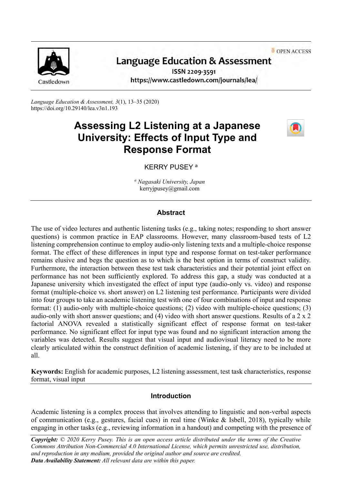OPEN ACCESS



# **Language Education & Assessment**

ISSN 2209-3591 https://www.castledown.com/journals/lea/

*Language Education & Assessment, 3*(1), 13–35 (2020) <https://doi.org/10.29140/lea.v3n1.193>

# **Assessing L2 Listening at a Japanese University: Effects of Input Type and Response Format**



### KERRY PUSEY <sup>a</sup>

*<sup>a</sup> Nagasaki University, Japan* kerryjpusey@gmail.com

#### **Abstract**

The use of video lectures and authentic listening tasks (e.g., taking notes; responding to short answer questions) is common practice in EAP classrooms. However, many classroom-based tests of L2 listening comprehension continue to employ audio-only listening texts and a multiple-choice response format. The effect of these differences in input type and response format on test-taker performance remains elusive and begs the question as to which is the best option in terms of construct validity. Furthermore, the interaction between these test task characteristics and their potential joint effect on performance has not been sufficiently explored. To address this gap, a study was conducted at a Japanese university which investigated the effect of input type (audio-only vs. video) and response format (multiple-choice vs. short answer) on L2 listening test performance. Participants were divided into four groups to take an academic listening test with one of four combinations of input and response format: (1) audio-only with multiple-choice questions; (2) video with multiple-choice questions; (3) audio-only with short answer questions; and (4) video with short answer questions. Results of a 2 x 2 factorial ANOVA revealed a statistically significant effect of response format on test-taker performance. No significant effect for input type was found and no significant interaction among the variables was detected. Results suggest that visual input and audiovisual literacy need to be more clearly articulated within the construct definition of academic listening, if they are to be included at all.

**Keywords:** English for academic purposes, L2 listening assessment, test task characteristics, response format, visual input

#### **Introduction**

Academic listening is a complex process that involves attending to linguistic and non-verbal aspects of communication (e.g., gestures, facial cues) in real time (Winke & Isbell, 2018), typically while engaging in other tasks (e.g., reviewing information in a handout) and competing with the presence of

*Copyright: © 2020 Kerry Pusey. This is an open access article distributed under the terms of the [Creative](http://creativecommons.org/licenses/by-nc-nd/4.0)  [Commons Attribution Non-Commercial 4.0 International License,](http://creativecommons.org/licenses/by-nc-nd/4.0) which permits unrestricted use, distribution, and reproduction in any medium, provided the original author and source are credited. Data Availability Statement: All relevant data are within this paper.*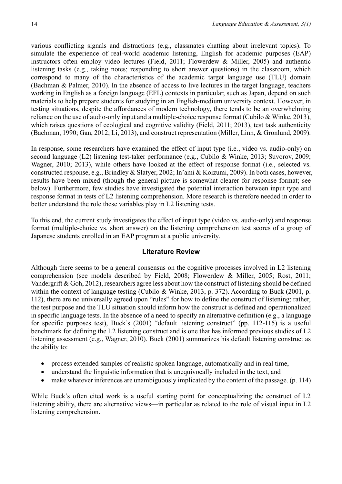various conflicting signals and distractions (e.g., classmates chatting about irrelevant topics). To simulate the experience of real-world academic listening, English for academic purposes (EAP) instructors often employ video lectures (Field, 2011; Flowerdew & Miller, 2005) and authentic listening tasks (e.g., taking notes; responding to short answer questions) in the classroom, which correspond to many of the characteristics of the academic target language use (TLU) domain (Bachman & Palmer, 2010). In the absence of access to live lectures in the target language, teachers working in English as a foreign language (EFL) contexts in particular, such as Japan, depend on such materials to help prepare students for studying in an English-medium university context. However, in testing situations, despite the affordances of modern technology, there tends to be an overwhelming reliance on the use of audio-only input and a multiple-choice response format (Cubilo & Winke, 2013), which raises questions of ecological and cognitive validity (Field, 2011; 2013), test task authenticity (Bachman, 1990; Gan, 2012; Li, 2013), and construct representation (Miller, Linn, & Gronlund, 2009).

In response, some researchers have examined the effect of input type (i.e., video vs. audio-only) on second language (L2) listening test-taker performance (e.g., Cubilo & Winke, 2013; Suvorov, 2009; Wagner, 2010; 2013), while others have looked at the effect of response format (i.e., selected vs. constructed response, e.g., Brindley & Slatyer, 2002; In'ami & Koizumi, 2009). In both cases, however, results have been mixed (though the general picture is somewhat clearer for response format; see below). Furthermore, few studies have investigated the potential interaction between input type and response format in tests of L2 listening comprehension. More research is therefore needed in order to better understand the role these variables play in L2 listening tests.

To this end, the current study investigates the effect of input type (video vs. audio-only) and response format (multiple-choice vs. short answer) on the listening comprehension test scores of a group of Japanese students enrolled in an EAP program at a public university.

#### **Literature Review**

Although there seems to be a general consensus on the cognitive processes involved in L2 listening comprehension (see models described by Field, 2008; Flowerdew & Miller, 2005; Rost, 2011; Vandergrift & Goh, 2012), researchers agree less about how the construct of listening should be defined within the context of language testing (Cubilo & Winke, 2013, p. 372). According to Buck (2001, p. 112), there are no universally agreed upon "rules" for how to define the construct of listening; rather, the test purpose and the TLU situation should inform how the construct is defined and operationalized in specific language tests. In the absence of a need to specify an alternative definition (e.g., a language for specific purposes test), Buck's (2001) "default listening construct" (pp. 112-115) is a useful benchmark for defining the L2 listening construct and is one that has informed previous studies of L2 listening assessment (e.g., Wagner, 2010). Buck (2001) summarizes his default listening construct as the ability to:

- process extended samples of realistic spoken language, automatically and in real time,
- understand the linguistic information that is unequivocally included in the text, and
- make whatever inferences are unambiguously implicated by the content of the passage. (p. 114)

While Buck's often cited work is a useful starting point for conceptualizing the construct of L2 listening ability, there are alternative views—in particular as related to the role of visual input in L2 listening comprehension.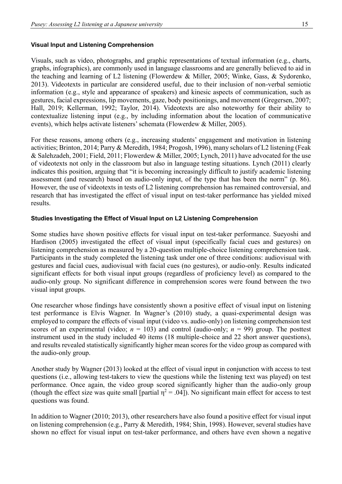#### **Visual Input and Listening Comprehension**

Visuals, such as video, photographs, and graphic representations of textual information (e.g., charts, graphs, infographics), are commonly used in language classrooms and are generally believed to aid in the teaching and learning of L2 listening (Flowerdew & Miller, 2005; Winke, Gass, & Sydorenko, 2013). Videotexts in particular are considered useful, due to their inclusion of non-verbal semiotic information (e.g., style and appearance of speakers) and kinesic aspects of communication, such as gestures, facial expressions, lip movements, gaze, body positionings, and movement (Gregersen, 2007; Hall, 2019; Kellerman, 1992; Taylor, 2014). Videotexts are also noteworthy for their ability to contextualize listening input (e.g., by including information about the location of communicative events), which helps activate listeners' schemata (Flowerdew & Miller, 2005).

For these reasons, among others (e.g., increasing students' engagement and motivation in listening activities; Brinton, 2014; Parry & Meredith, 1984; Progosh, 1996), many scholars of L2 listening (Feak & Salehzadeh, 2001; Field, 2011; Flowerdew & Miller, 2005; Lynch, 2011) have advocated for the use of videotexts not only in the classroom but also in language testing situations. Lynch (2011) clearly indicates this position, arguing that "it is becoming increasingly difficult to justify academic listening assessment (and research) based on audio-only input, of the type that has been the norm" (p. 86). However, the use of videotexts in tests of L2 listening comprehension has remained controversial, and research that has investigated the effect of visual input on test-taker performance has yielded mixed results.

#### **Studies Investigating the Effect of Visual Input on L2 Listening Comprehension**

Some studies have shown positive effects for visual input on test-taker performance. Sueyoshi and Hardison (2005) investigated the effect of visual input (specifically facial cues and gestures) on listening comprehension as measured by a 20-question multiple-choice listening comprehension task. Participants in the study completed the listening task under one of three conditions: audiovisual with gestures and facial cues, audiovisual with facial cues (no gestures), or audio-only. Results indicated significant effects for both visual input groups (regardless of proficiency level) as compared to the audio-only group. No significant difference in comprehension scores were found between the two visual input groups.

One researcher whose findings have consistently shown a positive effect of visual input on listening test performance is Elvis Wagner. In Wagner's (2010) study, a quasi-experimental design was employed to compare the effects of visual input (video vs. audio-only) on listening comprehension test scores of an experimental (video;  $n = 103$ ) and control (audio-only;  $n = 99$ ) group. The posttest instrument used in the study included 40 items (18 multiple-choice and 22 short answer questions), and results revealed statistically significantly higher mean scores for the video group as compared with the audio-only group.

Another study by Wagner (2013) looked at the effect of visual input in conjunction with access to test questions (i.e., allowing test-takers to view the questions while the listening text was played) on test performance. Once again, the video group scored significantly higher than the audio-only group (though the effect size was quite small [partial  $\eta^2 = .04$ ]). No significant main effect for access to test questions was found.

In addition to Wagner (2010; 2013), other researchers have also found a positive effect for visual input on listening comprehension (e.g., Parry & Meredith, 1984; Shin, 1998). However, several studies have shown no effect for visual input on test-taker performance, and others have even shown a negative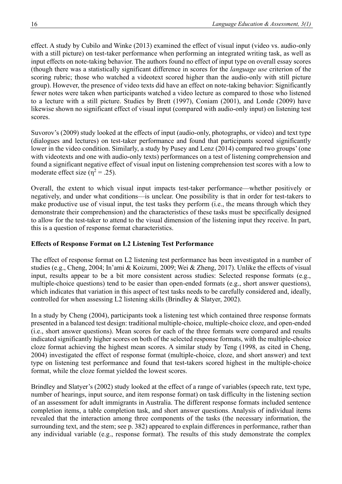effect. A study by Cubilo and Winke (2013) examined the effect of visual input (video vs. audio-only with a still picture) on test-taker performance when performing an integrated writing task, as well as input effects on note-taking behavior. The authors found no effect of input type on overall essay scores (though there was a statistically significant difference in scores for the *language use* criterion of the scoring rubric; those who watched a videotext scored higher than the audio-only with still picture group). However, the presence of video texts did have an effect on note-taking behavior: Significantly fewer notes were taken when participants watched a video lecture as compared to those who listened to a lecture with a still picture. Studies by Brett (1997), Coniam (2001), and Londe (2009) have likewise shown no significant effect of visual input (compared with audio-only input) on listening test scores.

Suvorov's (2009) study looked at the effects of input (audio-only, photographs, or video) and text type (dialogues and lectures) on test-taker performance and found that participants scored significantly lower in the video condition. Similarly, a study by Pusey and Lenz (2014) compared two groups' (one with videotexts and one with audio-only texts) performances on a test of listening comprehension and found a significant negative effect of visual input on listening comprehension test scores with a low to moderate effect size ( $\eta^2$  = .25).

Overall, the extent to which visual input impacts test-taker performance—whether positively or negatively, and under what conditions—is unclear. One possibility is that in order for test-takers to make productive use of visual input, the test tasks they perform (i.e., the means through which they demonstrate their comprehension) and the characteristics of these tasks must be specifically designed to allow for the test-taker to attend to the visual dimension of the listening input they receive. In part, this is a question of response format characteristics.

### **Effects of Response Format on L2 Listening Test Performance**

The effect of response format on L2 listening test performance has been investigated in a number of studies (e.g., Cheng, 2004; In'ami & Koizumi, 2009; Wei & Zheng, 2017). Unlike the effects of visual input, results appear to be a bit more consistent across studies: Selected response formats (e.g., multiple-choice questions) tend to be easier than open-ended formats (e.g., short answer questions), which indicates that variation in this aspect of test tasks needs to be carefully considered and, ideally, controlled for when assessing L2 listening skills (Brindley & Slatyer, 2002).

In a study by Cheng (2004), participants took a listening test which contained three response formats presented in a balanced test design: traditional multiple-choice, multiple-choice cloze, and open-ended (i.e., short answer questions). Mean scores for each of the three formats were compared and results indicated significantly higher scores on both of the selected response formats, with the multiple-choice cloze format achieving the highest mean scores. A similar study by Teng (1998, as cited in Cheng, 2004) investigated the effect of response format (multiple-choice, cloze, and short answer) and text type on listening test performance and found that test-takers scored highest in the multiple-choice format, while the cloze format yielded the lowest scores.

Brindley and Slatyer's (2002) study looked at the effect of a range of variables (speech rate, text type, number of hearings, input source, and item response format) on task difficulty in the listening section of an assessment for adult immigrants in Australia. The different response formats included sentence completion items, a table completion task, and short answer questions. Analysis of individual items revealed that the interaction among three components of the tasks (the necessary information, the surrounding text, and the stem; see p. 382) appeared to explain differences in performance, rather than any individual variable (e.g., response format). The results of this study demonstrate the complex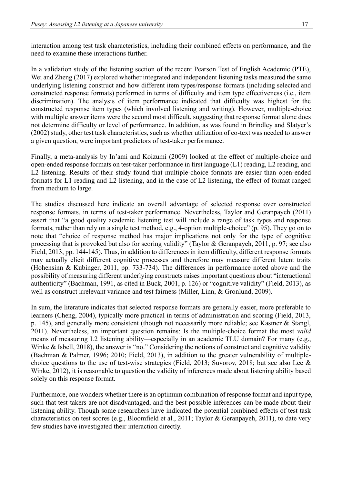interaction among test task characteristics, including their combined effects on performance, and the need to examine these interactions further.

In a validation study of the listening section of the recent Pearson Test of English Academic (PTE), Wei and Zheng (2017) explored whether integrated and independent listening tasks measured the same underlying listening construct and how different item types/response formats (including selected and constructed response formats) performed in terms of difficulty and item type effectiveness (i.e., item discrimination). The analysis of item performance indicated that difficulty was highest for the constructed response item types (which involved listening and writing). However, multiple-choice with multiple answer items were the second most difficult, suggesting that response format alone does not determine difficulty or level of performance. In addition, as was found in Brindley and Slatyer's (2002) study, other test task characteristics, such as whether utilization of co-text was needed to answer a given question, were important predictors of test-taker performance.

Finally, a meta-analysis by In'ami and Koizumi (2009) looked at the effect of multiple-choice and open-ended response formats on test-taker performance in first language (L1) reading, L2 reading, and L2 listening. Results of their study found that multiple-choice formats are easier than open-ended formats for L1 reading and L2 listening, and in the case of L2 listening, the effect of format ranged from medium to large.

The studies discussed here indicate an overall advantage of selected response over constructed response formats, in terms of test-taker performance. Nevertheless, Taylor and Geranpayeh (2011) assert that "a good quality academic listening test will include a range of task types and response formats, rather than rely on a single test method, e.g., 4-option multiple-choice" (p. 95). They go on to note that "choice of response method has major implications not only for the type of cognitive processing that is provoked but also for scoring validity" (Taylor & Geranpayeh, 2011, p. 97; see also Field, 2013, pp. 144-145). Thus, in addition to differences in item difficulty, different response formats may actually elicit different cognitive processes and therefore may measure different latent traits (Hohensinn & Kubinger, 2011, pp. 733-734). The differences in performance noted above and the possibility of measuring different underlying constructs raises important questions about "interactional authenticity" (Bachman, 1991, as cited in Buck, 2001, p. 126) or "cognitive validity" (Field, 2013), as well as construct irrelevant variance and test fairness (Miller, Linn, & Gronlund, 2009).

In sum, the literature indicates that selected response formats are generally easier, more preferable to learners (Cheng, 2004), typically more practical in terms of administration and scoring (Field, 2013, p. 145), and generally more consistent (though not necessarily more reliable; see Kastner & Stangl, 2011). Nevertheless, an important question remains: Is the multiple-choice format the most *valid* means of measuring L2 listening ability—especially in an academic TLU domain? For many (e.g., Winke & Isbell, 2018), the answer is "no." Considering the notions of construct and cognitive validity (Bachman & Palmer, 1996; 2010; Field, 2013), in addition to the greater vulnerability of multiplechoice questions to the use of test-wise strategies (Field, 2013; Suvorov, 2018; but see also Lee & Winke, 2012), it is reasonable to question the validity of inferences made about listening ability based solely on this response format.

Furthermore, one wonders whether there is an optimum combination of response format and input type, such that test-takers are not disadvantaged, and the best possible inferences can be made about their listening ability. Though some researchers have indicated the potential combined effects of test task characteristics on test scores (e.g., Bloomfield et al., 2011; Taylor & Geranpayeh, 2011), to date very few studies have investigated their interaction directly.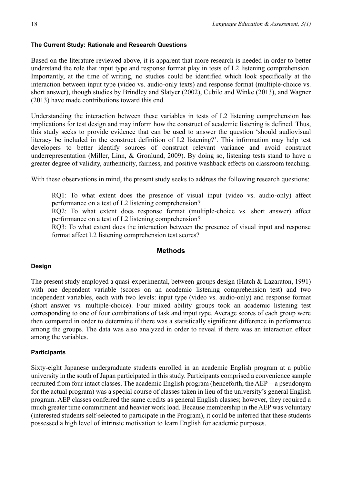#### **The Current Study: Rationale and Research Questions**

Based on the literature reviewed above, it is apparent that more research is needed in order to better understand the role that input type and response format play in tests of L2 listening comprehension. Importantly, at the time of writing, no studies could be identified which look specifically at the interaction between input type (video vs. audio-only texts) and response format (multiple-choice vs. short answer), though studies by Brindley and Slatyer (2002), Cubilo and Winke (2013), and Wagner (2013) have made contributions toward this end.

Understanding the interaction between these variables in tests of L2 listening comprehension has implications for test design and may inform how the construct of academic listening is defined. Thus, this study seeks to provide evidence that can be used to answer the question 'should audiovisual literacy be included in the construct definition of L2 listening?'. This information may help test developers to better identify sources of construct relevant variance and avoid construct underrepresentation (Miller, Linn, & Gronlund, 2009). By doing so, listening tests stand to have a greater degree of validity, authenticity, fairness, and positive washback effects on classroom teaching.

With these observations in mind, the present study seeks to address the following research questions:

RQ1: To what extent does the presence of visual input (video vs. audio-only) affect performance on a test of L2 listening comprehension?

RQ2: To what extent does response format (multiple-choice vs. short answer) affect performance on a test of L2 listening comprehension?

RQ3: To what extent does the interaction between the presence of visual input and response format affect L2 listening comprehension test scores?

#### **Methods**

#### **Design**

The present study employed a quasi-experimental, between-groups design (Hatch & Lazaraton, 1991) with one dependent variable (scores on an academic listening comprehension test) and two independent variables, each with two levels: input type (video vs. audio-only) and response format (short answer vs. multiple-choice). Four mixed ability groups took an academic listening test corresponding to one of four combinations of task and input type. Average scores of each group were then compared in order to determine if there was a statistically significant difference in performance among the groups. The data was also analyzed in order to reveal if there was an interaction effect among the variables.

#### **Participants**

Sixty-eight Japanese undergraduate students enrolled in an academic English program at a public university in the south of Japan participated in this study. Participants comprised a convenience sample recruited from four intact classes. The academic English program (henceforth, the AEP—a pseudonym for the actual program) was a special course of classes taken in lieu of the university's general English program. AEP classes conferred the same credits as general English classes; however, they required a much greater time commitment and heavier work load. Because membership in the AEP was voluntary (interested students self-selected to participate in the Program), it could be inferred that these students possessed a high level of intrinsic motivation to learn English for academic purposes.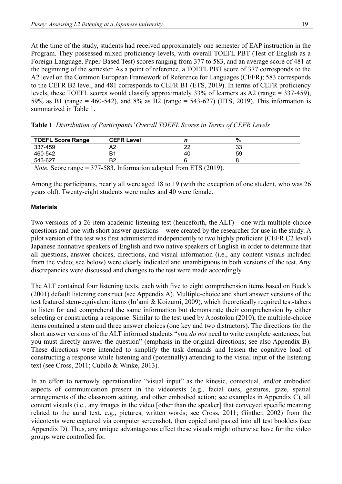At the time of the study, students had received approximately one semester of EAP instruction in the Program. They possessed mixed proficiency levels, with overall TOEFL PBT (Test of English as a Foreign Language, Paper-Based Test) scores ranging from 377 to 583, and an average score of 481 at the beginning of the semester. As a point of reference, a TOEFL PBT score of 377 corresponds to the A2 level on the Common European Framework of Reference for Languages (CEFR); 583 corresponds to the CEFR B2 level, and 481 corresponds to CEFR B1 (ETS, 2019). In terms of CEFR proficiency levels, these TOEFL scores would classify approximately 33% of learners as A2 (range = 337-459), 59% as B1 (range = 460-542), and 8% as B2 (range = 543-627) (ETS, 2019). This information is summarized in Table 1.

|  | Table 1 Distribution of Participants' Overall TOEFL Scores in Terms of CEFR Levels |  |  |  |  |  |  |  |  |  |  |  |  |
|--|------------------------------------------------------------------------------------|--|--|--|--|--|--|--|--|--|--|--|--|
|--|------------------------------------------------------------------------------------|--|--|--|--|--|--|--|--|--|--|--|--|

| <b>TOEFL Score Range</b> | <b>CEFR Level</b> |                                                                             | %  |
|--------------------------|-------------------|-----------------------------------------------------------------------------|----|
| 337-459                  | A2                | つつ                                                                          | 33 |
| 460-542                  | B1                | 40                                                                          | 59 |
| 543-627                  | B2                |                                                                             |    |
|                          |                   | <i>Note.</i> Score range = 377-583. Information adapted from ETS $(2019)$ . |    |

Among the participants, nearly all were aged 18 to 19 (with the exception of one student, who was 26 years old). Twenty-eight students were males and 40 were female.

#### **Materials**

Two versions of a 26-item academic listening test (henceforth, the ALT)—one with multiple-choice questions and one with short answer questions—were created by the researcher for use in the study. A pilot version of the test was first administered independently to two highly proficient (CEFR C2 level) Japanese nonnative speakers of English and two native speakers of English in order to determine that all questions, answer choices, directions, and visual information (i.e., any content visuals included from the video; see below) were clearly indicated and unambiguous in both versions of the test. Any discrepancies were discussed and changes to the test were made accordingly.

The ALT contained four listening texts, each with five to eight comprehension items based on Buck's (2001) default listening construct (see Appendix A). Multiple-choice and short answer versions of the test featured stem-equivalent items (In'ami & Koizumi, 2009), which theoretically required test-takers to listen for and comprehend the same information but demonstrate their comprehension by either selecting or constructing a response. Similar to the test used by Apostolou (2010), the multiple-choice items contained a stem and three answer choices (one key and two distractors). The directions for the short answer versions of the ALT informed students "you *do not* need to write complete sentences, but you must directly answer the question" (emphasis in the original directions; see also Appendix B). These directions were intended to simplify the task demands and lessen the cognitive load of constructing a response while listening and (potentially) attending to the visual input of the listening text (see Cross, 2011; Cubilo & Winke, 2013).

In an effort to narrowly operationalize "visual input" as the kinesic, contextual, and/or embodied aspects of communication present in the videotexts (e.g., facial cues, gestures, gaze, spatial arrangements of the classroom setting, and other embodied action; see examples in Appendix C), all content visuals (i.e., any images in the video [other than the speaker] that conveyed specific meaning related to the aural text, e.g., pictures, written words; see Cross, 2011; Ginther, 2002) from the videotexts were captured via computer screenshot, then copied and pasted into all test booklets (see Appendix D). Thus, any unique advantageous effect these visuals might otherwise have for the video groups were controlled for.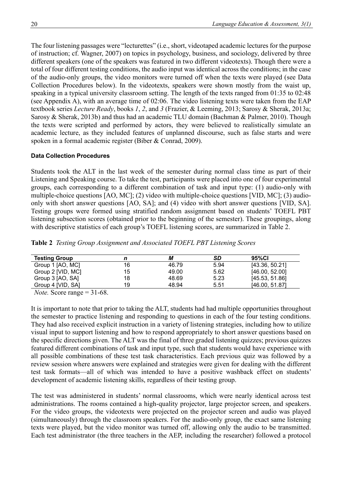The four listening passages were "lecturettes" (i.e., short, videotaped academic lectures for the purpose of instruction; cf. Wagner, 2007) on topics in psychology, business, and sociology, delivered by three different speakers (one of the speakers was featured in two different videotexts). Though there were a total of four different testing conditions, the audio input was identical across the conditions; in the case of the audio-only groups, the video monitors were turned off when the texts were played (see Data Collection Procedures below). In the videotexts, speakers were shown mostly from the waist up, speaking in a typical university classroom setting. The length of the texts ranged from 01:35 to 02:48 (see Appendix A), with an average time of 02:06. The video listening texts were taken from the EAP textbook series *Lecture Ready*, books *1*, *2*, and *3* (Frazier, & Leeming, 2013; Sarosy & Sherak, 2013a; Sarosy & Sherak, 2013b) and thus had an academic TLU domain (Bachman & Palmer, 2010). Though the texts were scripted and performed by actors, they were believed to realistically simulate an academic lecture, as they included features of unplanned discourse, such as false starts and were spoken in a formal academic register (Biber & Conrad, 2009).

#### **Data Collection Procedures**

Students took the ALT in the last week of the semester during normal class time as part of their Listening and Speaking course. To take the test, participants were placed into one of four experimental groups, each corresponding to a different combination of task and input type: (1) audio-only with multiple-choice questions [AO, MC]; (2) video with multiple-choice questions [VID, MC]; (3) audioonly with short answer questions [AO, SA]; and (4) video with short answer questions [VID, SA]. Testing groups were formed using stratified random assignment based on students' TOEFL PBT listening subsection scores (obtained prior to the beginning of the semester). These groupings, along with descriptive statistics of each group's TOEFL listening scores, are summarized in Table 2.

**Table 2** *Testing Group Assignment and Associated TOEFL PBT Listening Scores*

| <b>Testing Group</b> | n  | М     | SD   | 95%CI          |
|----------------------|----|-------|------|----------------|
| Group 1 [AO, MC]     | 16 | 46.79 | 5.94 | [43.36, 50.21] |
| Group 2 [VID, MC]    | 15 | 49.00 | 5.62 | [46.00, 52.00] |
| Group 3 [AO, SA]     | 18 | 48.69 | 5.23 | [45.53, 51.86] |
| Group 4 [VID, SA]    | 19 | 48.94 | 5.51 | [46.00, 51.87] |

*Note.* Score range = 31-68.

It is important to note that prior to taking the ALT, students had had multiple opportunities throughout the semester to practice listening and responding to questions in each of the four testing conditions. They had also received explicit instruction in a variety of listening strategies, including how to utilize visual input to support listening and how to respond appropriately to short answer questions based on the specific directions given. The ALT was the final of three graded listening quizzes; previous quizzes featured different combinations of task and input type, such that students would have experience with all possible combinations of these test task characteristics. Each previous quiz was followed by a review session where answers were explained and strategies were given for dealing with the different test task formats—all of which was intended to have a positive washback effect on students' development of academic listening skills, regardless of their testing group.

The test was administered in students' normal classrooms, which were nearly identical across test administrations. The rooms contained a high-quality projector, large projector screen, and speakers. For the video groups, the videotexts were projected on the projector screen and audio was played (simultaneously) through the classroom speakers. For the audio-only group, the exact same listening texts were played, but the video monitor was turned off, allowing only the audio to be transmitted. Each test administrator (the three teachers in the AEP, including the researcher) followed a protocol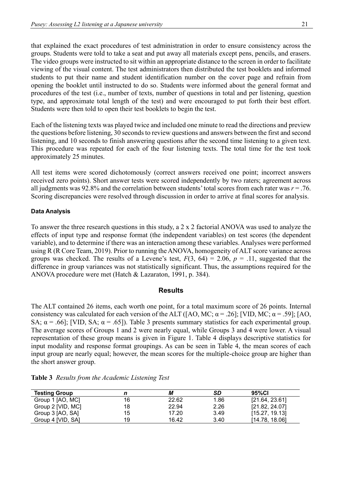that explained the exact procedures of test administration in order to ensure consistency across the groups. Students were told to take a seat and put away all materials except pens, pencils, and erasers. The video groups were instructed to sit within an appropriate distance to the screen in order to facilitate viewing of the visual content. The test administrators then distributed the test booklets and informed students to put their name and student identification number on the cover page and refrain from opening the booklet until instructed to do so. Students were informed about the general format and procedures of the test (i.e., number of texts, number of questions in total and per listening, question type, and approximate total length of the test) and were encouraged to put forth their best effort. Students were then told to open their test booklets to begin the test.

Each of the listening texts was played twice and included one minute to read the directions and preview the questions before listening, 30 seconds to review questions and answers between the first and second listening, and 10 seconds to finish answering questions after the second time listening to a given text. This procedure was repeated for each of the four listening texts. The total time for the test took approximately 25 minutes.

All test items were scored dichotomously (correct answers received one point; incorrect answers received zero points). Short answer tests were scored independently by two raters; agreement across all judgments was 92.8% and the correlation between students' total scores from each rater was *r* = .76. Scoring discrepancies were resolved through discussion in order to arrive at final scores for analysis.

#### **Data Analysis**

To answer the three research questions in this study, a 2 x 2 factorial ANOVA was used to analyze the effects of input type and response format (the independent variables) on test scores (the dependent variable), and to determine if there was an interaction among these variables. Analyses were performed using R (R Core Team, 2019). Prior to running the ANOVA, homogeneity of ALT score variance across groups was checked. The results of a Levene's test,  $F(3, 64) = 2.06$ ,  $p = .11$ , suggested that the difference in group variances was not statistically significant. Thus, the assumptions required for the ANOVA procedure were met (Hatch & Lazaraton, 1991, p. 384).

#### **Results**

The ALT contained 26 items, each worth one point, for a total maximum score of 26 points. Internal consistency was calculated for each version of the ALT ([AO, MC;  $\alpha$  = .26]; [VID, MC;  $\alpha$  = .59]; [AO, SA;  $\alpha$  = .66]; [VID, SA;  $\alpha$  = .65]). Table 3 presents summary statistics for each experimental group. The average scores of Groups 1 and 2 were nearly equal, while Groups 3 and 4 were lower. A visual representation of these group means is given in Figure 1. Table 4 displays descriptive statistics for input modality and response format groupings. As can be seen in Table 4, the mean scores of each input group are nearly equal; however, the mean scores for the multiple-choice group are higher than the short answer group.

| <b>Testing Group</b> |    | М     | SD   | 95%CI          |
|----------------------|----|-------|------|----------------|
| Group 1 [AO, MC]     | 16 | 22.62 | 1.86 | [21.64, 23.61] |
| Group 2 [VID, MC]    | 18 | 22.94 | 2.26 | [21.82, 24.07] |
| Group 3 [AO, SA]     | 15 | 17.20 | 3.49 | [15.27, 19.13] |
| Group 4 [VID, SA]    | 19 | 16.42 | 3.40 | [14.78, 18.06] |

**Table 3** *Results from the Academic Listening Test*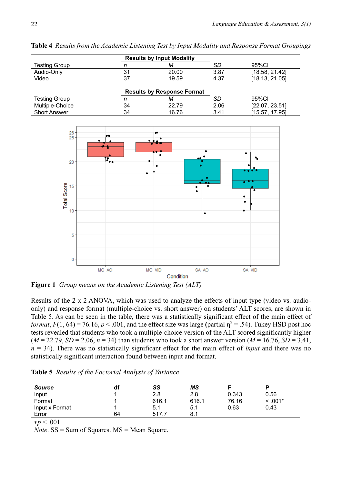|                      | <b>Results by Input Modality</b>  |       |      |                |  |  |  |  |
|----------------------|-----------------------------------|-------|------|----------------|--|--|--|--|
| <b>Testing Group</b> | n                                 | М     | SD   | 95%CI          |  |  |  |  |
| Audio-Only           | 31                                | 20.00 | 3.87 | [18.58, 21.42] |  |  |  |  |
| Video                | 37                                | 19.59 |      | [18.13, 21.05] |  |  |  |  |
|                      |                                   |       |      |                |  |  |  |  |
|                      | <b>Results by Response Format</b> |       |      |                |  |  |  |  |
| <b>Testing Group</b> | М                                 |       | SD   | 95%CI          |  |  |  |  |
| Multiple-Choice      | 34                                | 22.79 | 2.06 | [22.07, 23.51] |  |  |  |  |
| <b>Short Answer</b>  | 34                                | 16.76 | 3.41 | [15.57, 17.95] |  |  |  |  |

**Table 4** *Results from the Academic Listening Test by Input Modality and Response Format Groupings*



**Figure 1** *Group means on the Academic Listening Test (ALT)*

Results of the 2 x 2 ANOVA, which was used to analyze the effects of input type (video vs. audioonly) and response format (multiple-choice vs. short answer) on students' ALT scores, are shown in Table 5. As can be seen in the table, there was a statistically significant effect of the main effect of *format*,  $F(1, 64) = 76.16$ ,  $p < .001$ , and the effect size was large (partial  $\eta^2 = .54$ ). Tukey HSD post hoc tests revealed that students who took a multiple-choice version of the ALT scored significantly higher  $(M = 22.79, SD = 2.06, n = 34)$  than students who took a short answer version  $(M = 16.76, SD = 3.41,$  $n = 34$ ). There was no statistically significant effect for the main effect of *input* and there was no statistically significant interaction found between input and format.

**Table 5** *Results of the Factorial Analysis of Variance*

| <b>Source</b>  | df | SS    | ΜS    |       |           |
|----------------|----|-------|-------|-------|-----------|
| Input          |    | 2.8   | 2.8   | 0.343 | 0.56      |
| Format         |    | 616.1 | 616.1 | 76.16 | $< .001*$ |
| Input x Format |    | 5.1   | 5.1   | 0.63  | 0.43      |
| Error          | 64 | 517.7 | 8.1   |       |           |
| ---            |    |       |       |       |           |

∗*p* < .001.

*Note*. SS = Sum of Squares. MS = Mean Square.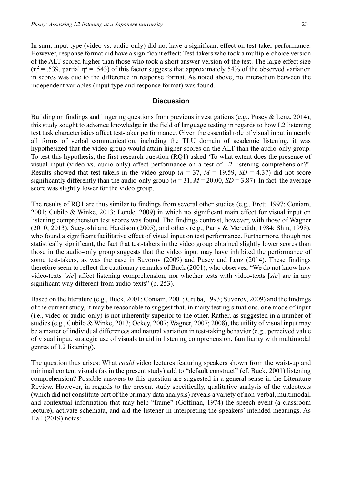In sum, input type (video vs. audio-only) did not have a significant effect on test-taker performance. However, response format did have a significant effect: Test-takers who took a multiple-choice version of the ALT scored higher than those who took a short answer version of the test. The large effect size  $(\eta^2 = .539)$ , partial  $\eta^2 = .543$ ) of this factor suggests that approximately 54% of the observed variation in scores was due to the difference in response format. As noted above, no interaction between the independent variables (input type and response format) was found.

#### **Discussion**

Building on findings and lingering questions from previous investigations (e.g., Pusey & Lenz, 2014), this study sought to advance knowledge in the field of language testing in regards to how L2 listening test task characteristics affect test-taker performance. Given the essential role of visual input in nearly all forms of verbal communication, including the TLU domain of academic listening, it was hypothesized that the video group would attain higher scores on the ALT than the audio-only group. To test this hypothesis, the first research question (RQ1) asked 'To what extent does the presence of visual input (video vs. audio-only) affect performance on a test of L2 listening comprehension?'. Results showed that test-takers in the video group ( $n = 37$ ,  $M = 19.59$ ,  $SD = 4.37$ ) did not score significantly differently than the audio-only group ( $n = 31$ ,  $M = 20.00$ ,  $SD = 3.87$ ). In fact, the average score was slightly lower for the video group.

The results of RQ1 are thus similar to findings from several other studies (e.g., Brett, 1997; Coniam, 2001; Cubilo & Winke, 2013; Londe, 2009) in which no significant main effect for visual input on listening comprehension test scores was found. The findings contrast, however, with those of Wagner (2010; 2013), Sueyoshi and Hardison (2005), and others (e.g., Parry & Meredith, 1984; Shin, 1998), who found a significant facilitative effect of visual input on test performance. Furthermore, though not statistically significant, the fact that test-takers in the video group obtained slightly lower scores than those in the audio-only group suggests that the video input may have inhibited the performance of some test-takers, as was the case in Suvorov (2009) and Pusey and Lenz (2014). These findings therefore seem to reflect the cautionary remarks of Buck (2001), who observes, "We do not know how video-texts [*sic*] affect listening comprehension, nor whether tests with video-texts [*sic*] are in any significant way different from audio-texts" (p. 253).

Based on the literature (e.g., Buck, 2001; Coniam, 2001; Gruba, 1993; Suvorov, 2009) and the findings of the current study, it may be reasonable to suggest that, in many testing situations, one mode of input (i.e., video or audio-only) is not inherently superior to the other. Rather, as suggested in a number of studies (e.g., Cubilo & Winke, 2013; Ockey, 2007; Wagner, 2007; 2008), the utility of visual input may be a matter of individual differences and natural variation in test-taking behavior (e.g., perceived value of visual input, strategic use of visuals to aid in listening comprehension, familiarity with multimodal genres of L2 listening).

The question thus arises: What *could* video lectures featuring speakers shown from the waist-up and minimal content visuals (as in the present study) add to "default construct" (cf. Buck, 2001) listening comprehension? Possible answers to this question are suggested in a general sense in the Literature Review. However, in regards to the present study specifically, qualitative analysis of the videotexts (which did not constitute part of the primary data analysis) reveals a variety of non-verbal, multimodal, and contextual information that may help "frame" (Goffman, 1974) the speech event (a classroom lecture), activate schemata, and aid the listener in interpreting the speakers' intended meanings. As Hall (2019) notes: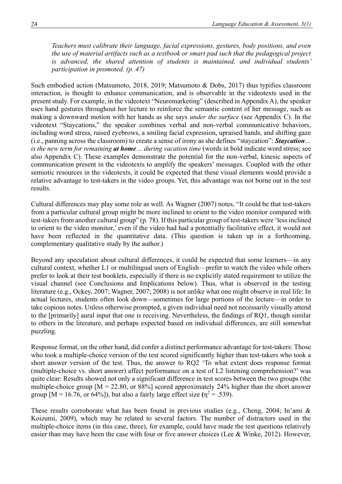*Teachers must calibrate their language, facial expressions, gestures, body positions, and even the use of material artifacts such as a textbook or smart pad such that the pedagogical project is advanced, the shared attention of students is maintained, and individual students' participation in promoted. (p. 47)*

Such embodied action (Matsumoto, 2018, 2019; Matsumoto & Dobs, 2017) thus typifies classroom interaction, is thought to enhance communication, and is observable in the videotexts used in the present study. For example, in the videotext "Neuromarketing" (described in Appendix A), the speaker uses hand gestures throughout her lecture to reinforce the semantic content of her message, such as making a downward motion with her hands as she says *under the surface* (see Appendix C). In the videotext "Staycations," the speaker combines verbal and non-verbal communicative behaviors, including word stress, raised eyebrows, a smiling facial expression, upraised hands, and shifting gaze (i.e., panning across the classroom) to create a sense of irony as she defines "staycation": *Staycation… is the new term for remaining at home… during vacation time* (words in bold indicate word stress; see also Appendix C). These examples demonstrate the potential for the non-verbal, kinesic aspects of communication present in the videotexts to amplify the speakers' messages. Coupled with the other semiotic resources in the videotexts, it could be expected that these visual elements would provide a relative advantage to test-takers in the video groups. Yet, this advantage was not borne out in the test results.

Cultural differences may play some role as well. As Wagner (2007) notes, "It could be that test-takers from a particular cultural group might be more inclined to orient to the video monitor compared with test-takers from another cultural group" (p. 78). If this particular group of test-takers were 'less inclined to orient to the video monitor,' even if the video had had a potentially facilitative effect, it would not have been reflected in the quantitative data. (This question is taken up in a forthcoming, complementary qualitative study by the author.)

Beyond any speculation about cultural differences, it could be expected that some learners—in any cultural context, whether L1 or multilingual users of English—prefer to watch the video while others prefer to look at their test booklets, especially if there is no explicitly stated requirement to utilize the visual channel (see Conclusions and Implications below). Thus, what is observed in the testing literature (e.g., Ockey, 2007; Wagner, 2007; 2008) is not unlike what one might observe in real life: In actual lectures, students often look down—sometimes for large portions of the lecture—in order to take copious notes. Unless otherwise prompted, a given individual need not necessarily visually attend to the [primarily] aural input that one is receiving. Nevertheless, the findings of RQ1, though similar to others in the literature, and perhaps expected based on individual differences, are still somewhat puzzling.

Response format, on the other hand, did confer a distinct performance advantage for test-takers: Those who took a multiple-choice version of the test scored significantly higher than test-takers who took a short answer version of the test. Thus, the answer to RQ2 'To what extent does response format (multiple-choice vs. short answer) affect performance on a test of L2 listening comprehension?' was quite clear: Results showed not only a significant difference in test scores between the two groups (the multiple-choice group  $[M = 22.80, \text{ or } 88\%]$  scored approximately 24% higher than the short answer group  $[M = 16.76, or 64\%]$ ), but also a fairly large effect size  $(\eta^2 = .539)$ .

These results corroborate what has been found in previous studies (e.g., Cheng, 2004; In'ami & Koizumi, 2009), which may be related to several factors. The number of distractors used in the multiple-choice items (in this case, three), for example, could have made the test questions relatively easier than may have been the case with four or five answer choices (Lee & Winke, 2012). However,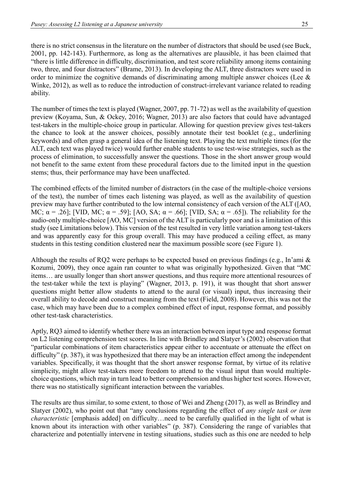there is no strict consensus in the literature on the number of distractors that should be used (see Buck, 2001, pp. 142-143). Furthermore, as long as the alternatives are plausible, it has been claimed that "there is little difference in difficulty, discrimination, and test score reliability among items containing two, three, and four distractors" (Brame, 2013). In developing the ALT, three distractors were used in order to minimize the cognitive demands of discriminating among multiple answer choices (Lee & Winke, 2012), as well as to reduce the introduction of construct-irrelevant variance related to reading ability.

The number of times the text is played (Wagner, 2007, pp. 71-72) as well as the availability of question preview (Koyama, Sun, & Ockey, 2016; Wagner, 2013) are also factors that could have advantaged test-takers in the multiple-choice group in particular. Allowing for question preview gives test-takers the chance to look at the answer choices, possibly annotate their test booklet (e.g., underlining keywords) and often grasp a general idea of the listening text. Playing the text multiple times (for the ALT, each text was played twice) would further enable students to use test-wise strategies, such as the process of elimination, to successfully answer the questions. Those in the short answer group would not benefit to the same extent from these procedural factors due to the limited input in the question stems; thus, their performance may have been unaffected.

The combined effects of the limited number of distractors (in the case of the multiple-choice versions of the test), the number of times each listening was played, as well as the availability of question preview may have further contributed to the low internal consistency of each version of the ALT ([AO, MC;  $\alpha$  = .26]; [VID, MC;  $\alpha$  = .59]; [AO, SA;  $\alpha$  = .66]; [VID, SA;  $\alpha$  = .65]). The reliability for the audio-only multiple-choice [AO, MC] version of the ALT is particularly poor and is a limitation of this study (see Limitations below). This version of the test resulted in very little variation among test-takers and was apparently easy for this group overall. This may have produced a ceiling effect, as many students in this testing condition clustered near the maximum possible score (see Figure 1).

Although the results of RQ2 were perhaps to be expected based on previous findings (e.g., In'ami  $\&$ Kozumi, 2009), they once again ran counter to what was originally hypothesized. Given that "MC items… are usually longer than short answer questions, and thus require more attentional resources of the test-taker while the text is playing" (Wagner, 2013, p. 191), it was thought that short answer questions might better allow students to attend to the aural (or visual) input, thus increasing their overall ability to decode and construct meaning from the text (Field, 2008). However, this was not the case, which may have been due to a complex combined effect of input, response format, and possibly other test-task characteristics.

Aptly, RQ3 aimed to identify whether there was an interaction between input type and response format on L2 listening comprehension test scores. In line with Brindley and Slatyer's (2002) observation that "particular combinations of item characteristics appear either to accentuate or attenuate the effect on difficulty" (p. 387), it was hypothesized that there may be an interaction effect among the independent variables. Specifically, it was thought that the short answer response format, by virtue of its relative simplicity, might allow test-takers more freedom to attend to the visual input than would multiplechoice questions, which may in turn lead to better comprehension and thus higher test scores. However, there was no statistically significant interaction between the variables.

The results are thus similar, to some extent, to those of Wei and Zheng (2017), as well as Brindley and Slatyer (2002), who point out that "any conclusions regarding the effect of *any single task or item characteristic* [emphasis added] on difficulty…need to be carefully qualified in the light of what is known about its interaction with other variables" (p. 387). Considering the range of variables that characterize and potentially intervene in testing situations, studies such as this one are needed to help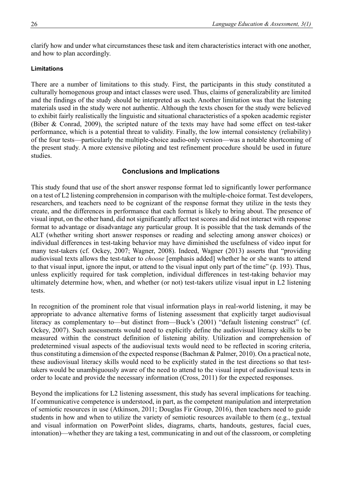clarify how and under what circumstances these task and item characteristics interact with one another, and how to plan accordingly.

#### **Limitations**

There are a number of limitations to this study. First, the participants in this study constituted a culturally homogenous group and intact classes were used. Thus, claims of generalizability are limited and the findings of the study should be interpreted as such. Another limitation was that the listening materials used in the study were not authentic. Although the texts chosen for the study were believed to exhibit fairly realistically the linguistic and situational characteristics of a spoken academic register (Biber & Conrad, 2009), the scripted nature of the texts may have had some effect on test-taker performance, which is a potential threat to validity. Finally, the low internal consistency (reliability) of the four tests—particularly the multiple-choice audio-only version—was a notable shortcoming of the present study. A more extensive piloting and test refinement procedure should be used in future studies.

### **Conclusions and Implications**

This study found that use of the short answer response format led to significantly lower performance on a test of L2 listening comprehension in comparison with the multiple-choice format. Test developers, researchers, and teachers need to be cognizant of the response format they utilize in the tests they create, and the differences in performance that each format is likely to bring about. The presence of visual input, on the other hand, did not significantly affect test scores and did not interact with response format to advantage or disadvantage any particular group. It is possible that the task demands of the ALT (whether writing short answer responses or reading and selecting among answer choices) or individual differences in test-taking behavior may have diminished the usefulness of video input for many test-takers (cf. Ockey, 2007; Wagner, 2008). Indeed, Wagner (2013) asserts that "providing audiovisual texts allows the test-taker to *choose* [emphasis added] whether he or she wants to attend to that visual input, ignore the input, or attend to the visual input only part of the time" (p. 193). Thus, unless explicitly required for task completion, individual differences in test-taking behavior may ultimately determine how, when, and whether (or not) test-takers utilize visual input in L2 listening tests.

In recognition of the prominent role that visual information plays in real-world listening, it may be appropriate to advance alternative forms of listening assessment that explicitly target audiovisual literacy as complementary to—but distinct from—Buck's (2001) "default listening construct" (cf. Ockey, 2007). Such assessments would need to explicitly define the audiovisual literacy skills to be measured within the construct definition of listening ability. Utilization and comprehension of predetermined visual aspects of the audiovisual texts would need to be reflected in scoring criteria, thus constituting a dimension of the expected response (Bachman & Palmer, 2010). On a practical note, these audiovisual literacy skills would need to be explicitly stated in the test directions so that testtakers would be unambiguously aware of the need to attend to the visual input of audiovisual texts in order to locate and provide the necessary information (Cross, 2011) for the expected responses.

Beyond the implications for L2 listening assessment, this study has several implications for teaching. If communicative competence is understood, in part, as the competent manipulation and interpretation of semiotic resources in use (Atkinson, 2011; Douglas Fir Group, 2016), then teachers need to guide students in how and when to utilize the variety of semiotic resources available to them (e.g., textual and visual information on PowerPoint slides, diagrams, charts, handouts, gestures, facial cues, intonation)—whether they are taking a test, communicating in and out of the classroom, or completing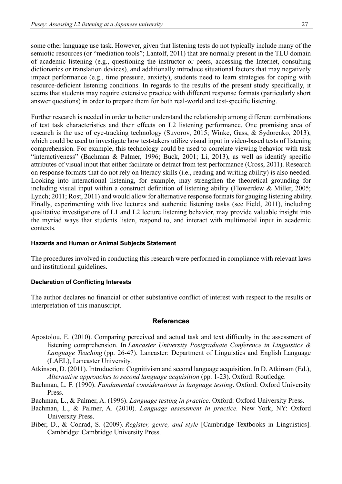some other language use task. However, given that listening tests do not typically include many of the semiotic resources (or "mediation tools"; Lantolf, 2011) that are normally present in the TLU domain of academic listening (e.g., questioning the instructor or peers, accessing the Internet, consulting dictionaries or translation devices), and additionally introduce situational factors that may negatively impact performance (e.g., time pressure, anxiety), students need to learn strategies for coping with resource-deficient listening conditions. In regards to the results of the present study specifically, it seems that students may require extensive practice with different response formats (particularly short answer questions) in order to prepare them for both real-world and test-specific listening.

Further research is needed in order to better understand the relationship among different combinations of test task characteristics and their effects on L2 listening performance. One promising area of research is the use of eye-tracking technology (Suvorov, 2015; Winke, Gass, & Sydorenko, 2013), which could be used to investigate how test-takers utilize visual input in video-based tests of listening comprehension. For example, this technology could be used to correlate viewing behavior with task "interactiveness" (Bachman & Palmer, 1996; Buck, 2001; Li, 2013), as well as identify specific attributes of visual input that either facilitate or detract from test performance (Cross, 2011). Research on response formats that do not rely on literacy skills (i.e., reading and writing ability) is also needed. Looking into interactional listening, for example, may strengthen the theoretical grounding for including visual input within a construct definition of listening ability (Flowerdew & Miller, 2005; Lynch; 2011; Rost, 2011) and would allow for alternative response formats for gauging listening ability. Finally, experimenting with live lectures and authentic listening tasks (see Field, 2011), including qualitative investigations of L1 and L2 lecture listening behavior, may provide valuable insight into the myriad ways that students listen, respond to, and interact with multimodal input in academic contexts.

#### **Hazards and Human or Animal Subjects Statement**

The procedures involved in conducting this research were performed in compliance with relevant laws and institutional guidelines.

#### **Declaration of Conflicting Interests**

The author declares no financial or other substantive conflict of interest with respect to the results or interpretation of this manuscript.

#### **References**

- Apostolou, E. (2010). Comparing perceived and actual task and text difficulty in the assessment of listening comprehension. In *Lancaster University Postgraduate Conference in Linguistics & Language Teaching* (pp. 26-47). Lancaster: Department of Linguistics and English Language (LAEL), Lancaster University.
- Atkinson, D. (2011). Introduction: Cognitivism and second language acquisition. In D. Atkinson (Ed.), *Alternative approaches to second language acquisition* (pp. 1-23). Oxford: Routledge.
- Bachman, L. F. (1990). *Fundamental considerations in language testing*. Oxford: Oxford University Press.
- Bachman, L., & Palmer, A. (1996). *Language testing in practice*. Oxford: Oxford University Press.
- Bachman, L., & Palmer, A. (2010). *Language assessment in practice.* New York, NY: Oxford University Press.
- Biber, D., & Conrad, S. (2009). *Register, genre, and style* [Cambridge Textbooks in Linguistics]. Cambridge: Cambridge University Press.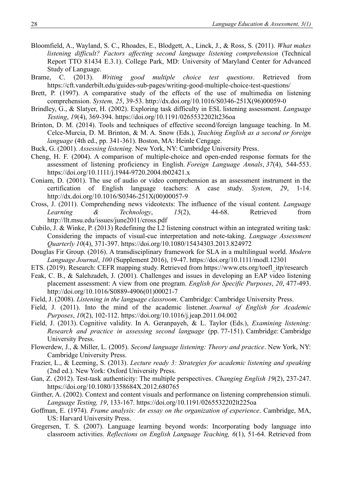- Bloomfield, A., Wayland, S. C., Rhoades, E., Blodgett, A., Linck, J., & Ross, S. (2011). *What makes listening difficult? Factors affecting second language listening comprehension* (Technical Report TTO 81434 E.3.1). College Park, MD: University of Maryland Center for Advanced Study of Language.
- Brame, C. (2013). *Writing good multiple choice test questions*. Retrieved from <https://cft.vanderbilt.edu/guides-sub-pages/writing-good-multiple-choice-test-questions/>
- Brett, P. (1997). A comparative study of the effects of the use of multimedia on listening comprehension. *System, 25*, 39-53. [http://dx.doi.org/10.1016/S0346-251X\(96\)00059-0](http://dx.doi.org/10.1016/S0346-251X%2896%2900059-0)
- Brindley, G., & Slatyer, H. (2002). Exploring task difficulty in ESL listening assessment. *Language Testing*, *19*(4), 369-394.<https://doi.org/10.1191/0265532202lt236oa>
- Brinton, D. M. (2014). Tools and techniques of effective second/foreign language teaching. In M. Celce-Murcia, D. M. Brinton, & M. A. Snow (Eds.), *Teaching English as a second or foreign language* (4th ed., pp. 341-361). Boston, MA: Heinle Cengage.
- Buck, G. (2001). *Assessing listening*. New York, NY: Cambridge University Press.
- Cheng, H. F. (2004). A comparison of multiple‐choice and open‐ended response formats for the assessment of listening proficiency in English. *Foreign Language Annals*, *37*(4), 544-553. <https://doi.org/10.1111/j.1944-9720.2004.tb02421.x>
- Coniam, D. (2001). The use of audio or video comprehension as an assessment instrument in the certification of English language teachers: A case study. System, 29, 1-14. certification of English language teachers: A case study. *System*, *29*, 1-14. [http://dx.doi.org/10.1016/S0346-251X\(00\)00057-9](http://dx.doi.org/10.1016/S0346-251X(00)00057-9)
- Cross, J. (2011). Comprehending news videotexts: The influence of the visual content. *Language Learning & Technology*, *15*(2), 44-68. Retrieved from <http://llt.msu.edu/issues/june2011/cross.pdf>
- Cubilo, J. & Winke, P. (2013) Redefining the L2 listening construct within an integrated writing task: Considering the impacts of visual-cue interpretation and note-taking. *Language Assessment Quarterly 10*(4), 371-397.<https://doi.org/10.1080/15434303.2013.824972>
- Douglas Fir Group. (2016). A transdisciplinary framework for SLA in a multilingual world. *Modern Language Journal*, *100* (Supplement 2016), 19-47. https://doi.org[/10.1111/modl.12301](https://doi.org/10.1111/modl.12301)
- ETS. (2019). Research: CEFR mapping study. Retrieved from [https://www.ets.org/toefl\\_itp/research](https://www.ets.org/toefl_itp/research)
- Feak, C. B., & Salehzadeh, J. (2001). Challenges and issues in developing an EAP video listening placement assessment: A view from one program. *English for Specific Purposes*, *20*, 477-493. [http://doi.org/10.1016/S0889-4906\(01\)00021-7](http://doi.org/10.1016/S0889-4906%2801%2900021-7)
- Field, J. (2008). *Listening in the language classroom*. Cambridge: Cambridge University Press.
- Field, J. (2011). Into the mind of the academic listener. *Journal of English for Academic Purposes*, *10*(2), 102-112.<https://doi.org/10.1016/j.jeap.2011.04.002>
- Field, J. (2013). Cognitive validity. In A. Geranpayeh, & L. Taylor (Eds.), *Examining listening: Research and practice in assessing second language* (pp. 77-151). Cambridge: Cambridge University Press.
- Flowerdew, J., & Miller, L. (2005). *Second language listening: Theory and practice*. New York, NY: Cambridge University Press.
- Frazier, L., & Leeming, S. (2013). *Lecture ready 3: Strategies for academic listening and speaking* (2nd ed.). New York: Oxford University Press.
- Gan, Z. (2012). Test-task authenticity: The multiple perspectives. *Changing English 19*(2), 237-247. <https://doi.org/10.1080/1358684X.2012.680765>
- Ginther, A. (2002). Context and content visuals and performance on listening comprehension stimuli. *Language Testing, 19*, 133-167. [https://doi.org/10.1191/0265532202lt225oa](https://doi.org/10.1191%2F0265532202lt225oa)
- Goffman, E. (1974). *Frame analysis: An essay on the organization of experience*. Cambridge, MA, US: Harvard University Press.
- Gregersen, T. S. (2007). Language learning beyond words: Incorporating body language into classroom activities. *Reflections on English Language Teaching, 6*(1), 51-64. Retrieved from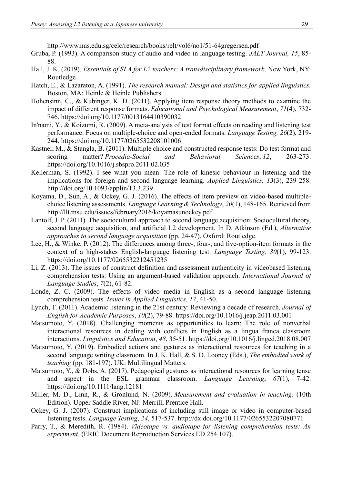<http://www.nus.edu.sg/celc/research/books/relt/vol6/no1/51-64gregersen.pdf>

- Gruba, P. (1993). A comparison study of audio and video in language testing. *JALT Journal, 15*, 85- 88.
- Hall, J. K. (2019). *Essentials of SLA for L2 teachers: A transdisciplinary framework*. New York, NY: Routledge*.*
- Hatch, E., & Lazaraton, A. (1991). *The research manual: Design and statistics for applied linguistics.* Boston, MA: Heinle & Heinle Publishers.
- Hohensinn, C., & Kubinger, K. D. (2011). Applying item response theory methods to examine the impact of different response formats. *Educational and Psychological Measurement*, *71*(4), 732- 746. [https://doi.org/10.1177/0013164410390032](https://doi.org/10.1177%2F0013164410390032)
- In'nami, Y., & Koizumi, R. (2009). A meta-analysis of test format effects on reading and listening test performance: Focus on multiple-choice and open-ended formats. *Language Testing, 26*(2), 219- 244.<https://doi.org/10.1177/0265532208101006>
- Kastner, M., & Stangla, B. (2011). Multiple choice and constructed response tests: Do test format and scoring matter? *Procedia-Social and Behavioral Sciences*, *12*, 263-273. <https://doi.org/10.1016/j.sbspro.2011.02.035>
- Kellerman, S. (1992). I see what you mean: The role of kinesic behaviour in listening and the implications for foreign and second language learning. *Applied Linguistics, 13*(3), 239-258. <http://doi.org/10.1093/applin/13.3.239>
- Koyama, D., Sun, A., & Ockey, G. J. (2016). The effects of item preview on video-based multiplechoice listening assessments. *Language Learning & Technology*, *20*(1), 148-165. Retrieved from http://llt.msu.edu/issues/february2016/koyamasunockey.pdf
- Lantolf, J. P. (2011). The sociocultural approach to second language acquisition: Sociocultural theory, second language acquisition, and artificial L2 development. In D. Atkinson (Ed.), *Alternative approaches to second language acquisition* (pp. 24-47). Oxford: Routledge.
- Lee, H., & Winke, P. (2012). The differences among three-, four-, and five-option-item formats in the context of a high-stakes English-language listening test. *Language Testing, 30*(1), 99-123. https://doi.org/10.1177/0265532212451235
- Li, Z. (2013). The issues of construct definition and assessment authenticity in videobased listening comprehension tests: Using an argument-based validation approach. *International Journal of Language Studies*, *7*(2), 61-82.
- Londe, Z. C. (2009). The effects of video media in English as a second language listening comprehension tests. *Issues in Applied Linguistics*, *17*, 41-50.
- Lynch, T. (2011). Academic listening in the 21st century: Reviewing a decade of research. *Journal of English for Academic Purposes*, *10*(2), 79-88.<https://doi.org/10.1016/j.jeap.2011.03.001>
- Matsumoto, Y. (2018). Challenging moments as opportunities to learn: The role of nonverbal interactional resources in dealing with conflicts in English as a lingua franca classroom interactions. *Linguistics and Education*, *48*, 35-51.<https://doi.org/10.1016/j.linged.2018.08.007>
- Matsumoto, Y. (2019). Embodied actions and gestures as interactional resources for teaching in a second language writing classroom. In J. K. Hall, & S. D. Looney (Eds.), *The embodied work of teaching* (pp. 181-197). UK: Multilingual Matters.
- Matsumoto, Y., & Dobs, A. (2017). Pedagogical gestures as interactional resources for learning tense and aspect in the ESL grammar classroom. *Language Learning*, *67*(1), 7-42. <https://doi.org/10.1111/lang.12181>
- Miller, M. D., Linn, R., & Gronlund, N. (2009). *Measurement and evaluation in teaching.* (10th Edition). Upper Saddle River, NJ: Merrill, Prentice Hall.
- Ockey, G. J. (2007). Construct implications of including still image or video in computer-based listening tests. *Language Testing*, *24*, 517-537.<http://dx.doi.org/10.1177/0265532207080771>
- Parry, T., & Meredith, R. (1984). *Videotape vs. audiotape for listening comprehension tests: An experiment*. (ERIC Document Reproduction Services ED 254 107).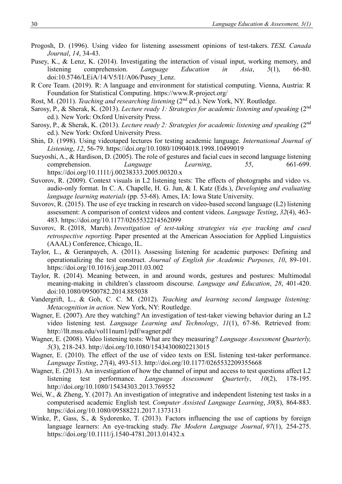- Progosh, D. (1996). Using video for listening assessment opinions of test-takers. *TESL Canada Journal*, *14*, 34-43.
- Pusey, K., & Lenz, K. (2014). Investigating the interaction of visual input, working memory, and listening comprehension. *Language Education in Asia*, 5(1), 66-80. listening comprehension. *Language Education in Asia*, *5*(1), 66-80. doi:10.5746/LEiA/14/V5/I1/A06/Pusey\_Lenz.
- R Core Team. (2019). R: A language and environment for statistical computing. Vienna, Austria: R Foundation for Statistical Computing. https://www.R-project.org/
- Rost, M. (2011). *Teaching and researching listening* (2<sup>nd</sup> ed.). New York, NY. Routledge.
- Sarosy, P., & Sherak, K. (2013). *Lecture ready 1: Strategies for academic listening and speaking* (2nd ed.). New York: Oxford University Press.
- Sarosy, P., & Sherak, K. (2013). *Lecture ready 2: Strategies for academic listening and speaking* (2nd ed.). New York: Oxford University Press.
- Shin, D. (1998). Using videotaped lectures for testing academic language. *International Journal of Listening*, *12*, 56-79.<https://doi.org/10.1080/10904018.1998.10499019>
- Sueyoshi, A., & Hardison, D. (2005). The role of gestures and facial cues in second language listening comprehension. *Language Learning*, *55*, 661-699. <https://doi.org/10.1111/j.00238333.2005.00320.x>
- Suvorov, R. (2009). Context visuals in L2 listening tests: The effects of photographs and video vs. audio-only format. In C. A. Chapelle, H. G. Jun, & I. Katz (Eds.), *Developing and evaluating language learning materials* (pp. 53-68). Ames, IA: Iowa State University.
- Suvorov, R. (2015). The use of eye tracking in research on video-based second language (L2) listening assessment: A comparison of context videos and content videos. *Language Testing*, *32*(4), 463- 483. [https://doi.org/10.1177/0265532214562099](https://doi.org/10.1177%2F0265532214562099)
- Suvorov, R. (2018, March). *Investigation of test-taking strategies via eye tracking and cued retrospective reporting.* Paper presented at the American Association for Applied Linguistics (AAAL) Conference, Chicago, IL.
- Taylor, L., & Geranpayeh, A. (2011). Assessing listening for academic purposes: Defining and operationalizing the test construct. *Journal of English for Academic Purposes, 10*, 89-101. <https://doi.org/10.1016/j.jeap.2011.03.002>
- Taylor, R. (2014). Meaning between, in and around words, gestures and postures: Multimodal meaning-making in children's classroom discourse. *Language and Education*, *28*, 401-420. doi:10.1080/09500782.2014.885038
- Vandergrift, L., & Goh, C. C. M. (2012). *Teaching and learning second language listening: Metacognition in action*. New York, NY: Routledge.
- Wagner, E. (2007). Are they watching? An investigation of test-taker viewing behavior during an L2 video listening test. *Language Learning and Technology*, *11*(1), 67-86. Retrieved from: http://llt.msu.edu/vol11num1/pdf/wagner.pdf
- Wagner, E. (2008). Video listening tests: What are they measuring? *Language Assessment Quarterly, 5*(3), 218-243.<http://doi.org/10.1080/15434300802213015>
- Wagner, E. (2010). The effect of the use of video texts on ESL listening test-taker performance. *Language Testing*, *27*(4), 493-513.<http://doi.org/10.1177/0265532209355668>
- Wagner, E. (2013). An investigation of how the channel of input and access to test questions affect L2 listening test performance. *Language Assessment Quarterly*, *10*(2), 178-195. <http://doi.org/10.1080/15434303.2013.769552>
- Wei, W., & Zheng, Y. (2017). An investigation of integrative and independent listening test tasks in a computerised academic English test. *Computer Assisted Language Learning*, *30*(8), 864-883. <https://doi.org/10.1080/09588221.2017.1373131>
- Winke, P., Gass, S., & Sydorenko, T. (2013). Factors influencing the use of captions by foreign language learners: An eye-tracking study. *The Modern Language Journal*, 97(1), 254-275. <https://doi.org/10.1111/j.1540-4781.2013.01432.x>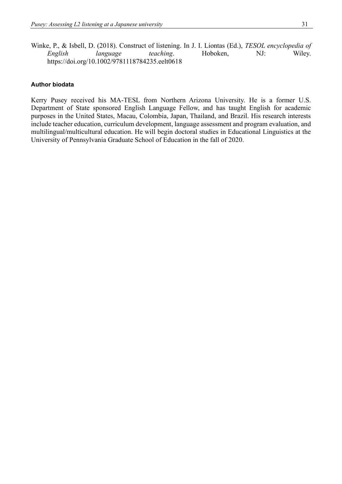Winke, P., & Isbell, D. (2018). Construct of listening. In J. I. Liontas (Ed.), *TESOL encyclopedia of English language teaching*. Hoboken, NJ: Wiley. <https://doi.org/10.1002/9781118784235.eelt0618>

#### **Author biodata**

Kerry Pusey received his MA-TESL from Northern Arizona University. He is a former U.S. Department of State sponsored English Language Fellow, and has taught English for academic purposes in the United States, Macau, Colombia, Japan, Thailand, and Brazil. His research interests include teacher education, curriculum development, language assessment and program evaluation, and multilingual/multicultural education. He will begin doctoral studies in Educational Linguistics at the University of Pennsylvania Graduate School of Education in the fall of 2020.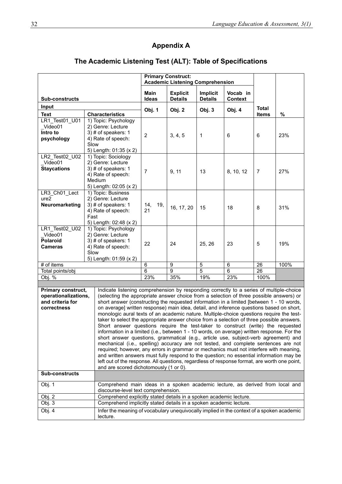## **Appendix A**

|                                                                                         |                        |                                                                                                                                                                                    |                                         | <b>Primary Construct:</b>         |                            |                            |                |      |  |
|-----------------------------------------------------------------------------------------|------------------------|------------------------------------------------------------------------------------------------------------------------------------------------------------------------------------|-----------------------------------------|-----------------------------------|----------------------------|----------------------------|----------------|------|--|
|                                                                                         |                        |                                                                                                                                                                                    | <b>Academic Listening Comprehension</b> |                                   |                            |                            |                |      |  |
| <b>Sub-constructs</b>                                                                   |                        |                                                                                                                                                                                    | Main<br>Ideas                           | <b>Explicit</b><br><b>Details</b> | Implicit<br><b>Details</b> | Vocab in<br><b>Context</b> |                |      |  |
| Input                                                                                   |                        |                                                                                                                                                                                    |                                         |                                   |                            |                            | <b>Total</b>   |      |  |
| <b>Text</b>                                                                             |                        | <b>Characteristics</b>                                                                                                                                                             | Obj. 1                                  | Obj. 2                            | Obj. 3                     | Obj. 4                     | <b>Items</b>   | $\%$ |  |
| LR1 Test01 U01                                                                          |                        | 1) Topic: Psychology                                                                                                                                                               |                                         |                                   |                            |                            |                |      |  |
| Video01                                                                                 |                        | 2) Genre: Lecture                                                                                                                                                                  |                                         |                                   |                            |                            |                |      |  |
| Intro to                                                                                |                        | 3) # of speakers: 1                                                                                                                                                                | $\overline{2}$                          | 3, 4, 5                           | 1                          | 6                          | 6              | 23%  |  |
| psychology                                                                              | Slow                   | 4) Rate of speech:                                                                                                                                                                 |                                         |                                   |                            |                            |                |      |  |
|                                                                                         |                        | 5) Length: 01:35 (x 2)                                                                                                                                                             |                                         |                                   |                            |                            |                |      |  |
| LR2_Test02_U02                                                                          |                        | 1) Topic: Sociology                                                                                                                                                                |                                         |                                   |                            |                            |                |      |  |
| Video01                                                                                 |                        | 2) Genre: Lecture                                                                                                                                                                  |                                         |                                   |                            |                            |                |      |  |
| <b>Staycations</b>                                                                      |                        | 3) # of speakers: 1                                                                                                                                                                | $\overline{7}$                          | 9, 11                             | 13                         | 8, 10, 12                  | $\overline{7}$ | 27%  |  |
|                                                                                         |                        | 4) Rate of speech:                                                                                                                                                                 |                                         |                                   |                            |                            |                |      |  |
|                                                                                         |                        | Medium                                                                                                                                                                             |                                         |                                   |                            |                            |                |      |  |
| LR3_Ch01_Lect                                                                           |                        | 5) Length: 02:05 (x 2)<br>1) Topic: Business                                                                                                                                       |                                         |                                   |                            |                            |                |      |  |
| ure <sub>2</sub>                                                                        |                        | 2) Genre: Lecture                                                                                                                                                                  |                                         |                                   |                            |                            |                |      |  |
| Neuromarketing                                                                          |                        | 3) # of speakers: 1                                                                                                                                                                | 14,<br>19,                              |                                   |                            |                            |                |      |  |
|                                                                                         |                        | 4) Rate of speech:                                                                                                                                                                 | 21                                      | 16, 17, 20                        | 15                         | 18                         | 8              | 31%  |  |
|                                                                                         | Fast                   |                                                                                                                                                                                    |                                         |                                   |                            |                            |                |      |  |
|                                                                                         | 5) Length: 02:48 (x 2) |                                                                                                                                                                                    |                                         |                                   |                            |                            |                |      |  |
| LR1 Test02 U02<br>Video01                                                               |                        | 1) Topic: Psychology<br>2) Genre: Lecture                                                                                                                                          |                                         |                                   |                            |                            |                |      |  |
| <b>Polaroid</b>                                                                         |                        | 3) # of speakers: 1                                                                                                                                                                |                                         |                                   |                            |                            |                |      |  |
| Cameras                                                                                 |                        | 4) Rate of speech:                                                                                                                                                                 | 22                                      | 24                                | 25, 26                     | 23                         | 5              | 19%  |  |
|                                                                                         | Slow                   |                                                                                                                                                                                    |                                         |                                   |                            |                            |                |      |  |
|                                                                                         |                        | 5) Length: 01:59 (x 2)                                                                                                                                                             |                                         |                                   |                            |                            |                |      |  |
| # of items                                                                              |                        |                                                                                                                                                                                    | 6<br>6                                  | 9<br>$\mathbf{Q}$                 | 5<br>5                     | $\,6\,$<br>6               | 26             | 100% |  |
| Total points/obj<br>Obj. %                                                              |                        |                                                                                                                                                                                    | 23%                                     | 35%                               | 19%                        | 23%                        | 26<br>100%     |      |  |
|                                                                                         |                        |                                                                                                                                                                                    |                                         |                                   |                            |                            |                |      |  |
| Primary construct,                                                                      |                        | Indicate listening comprehension by responding correctly to a series of multiple-choice                                                                                            |                                         |                                   |                            |                            |                |      |  |
| operationalizations,                                                                    |                        | (selecting the appropriate answer choice from a selection of three possible answers) or                                                                                            |                                         |                                   |                            |                            |                |      |  |
| and criteria for                                                                        |                        | short answer (constructing the requested information in a limited [between 1 - 10 words,                                                                                           |                                         |                                   |                            |                            |                |      |  |
| correctness                                                                             |                        | on average] written response) main idea, detail, and inference questions based on short,                                                                                           |                                         |                                   |                            |                            |                |      |  |
|                                                                                         |                        | monologic aural texts of an academic nature. Multiple-choice questions require the test-                                                                                           |                                         |                                   |                            |                            |                |      |  |
|                                                                                         |                        | taker to select the appropriate answer choice from a selection of three possible answers.<br>Short answer questions require the test-taker to construct (write) the requested      |                                         |                                   |                            |                            |                |      |  |
|                                                                                         |                        |                                                                                                                                                                                    |                                         |                                   |                            |                            |                |      |  |
|                                                                                         |                        | information in a limited (i.e., between 1 - 10 words, on average) written response. For the<br>short answer questions, grammatical (e.g., article use, subject-verb agreement) and |                                         |                                   |                            |                            |                |      |  |
|                                                                                         |                        | mechanical (i.e., spelling) accuracy are not tested, and complete sentences are not                                                                                                |                                         |                                   |                            |                            |                |      |  |
|                                                                                         |                        | required; however, any errors in grammar or mechanics must not interfere with meaning,<br>and written answers must fully respond to the question; no essential information may be  |                                         |                                   |                            |                            |                |      |  |
|                                                                                         |                        | left out of the response. All questions, regardless of response format, are worth one point,                                                                                       |                                         |                                   |                            |                            |                |      |  |
|                                                                                         |                        | and are scored dichotomously (1 or 0).                                                                                                                                             |                                         |                                   |                            |                            |                |      |  |
| <b>Sub-constructs</b>                                                                   |                        |                                                                                                                                                                                    |                                         |                                   |                            |                            |                |      |  |
| Obj. 1<br>Comprehend main ideas in a spoken academic lecture, as derived from local and |                        |                                                                                                                                                                                    |                                         |                                   |                            |                            |                |      |  |
| Obj. 2                                                                                  |                        | discourse-level text comprehension.<br>Comprehend explicitly stated details in a spoken academic lecture.                                                                          |                                         |                                   |                            |                            |                |      |  |
| Obj. 3                                                                                  |                        | Comprehend implicitly stated details in a spoken academic lecture.                                                                                                                 |                                         |                                   |                            |                            |                |      |  |
| Obj. 4                                                                                  |                        |                                                                                                                                                                                    |                                         |                                   |                            |                            |                |      |  |
|                                                                                         |                        | Infer the meaning of vocabulary unequivocally implied in the context of a spoken academic<br>lecture.                                                                              |                                         |                                   |                            |                            |                |      |  |

## **The Academic Listening Test (ALT): Table of Specifications**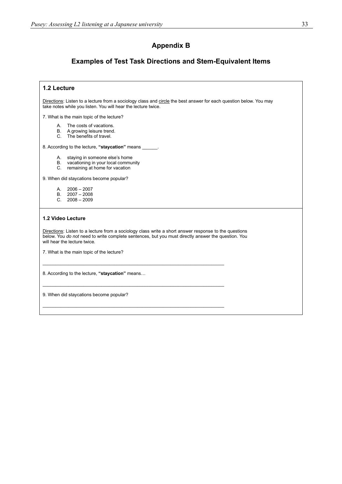#### **Appendix B**

#### **Examples of Test Task Directions and Stem-Equivalent Items**

Directions: Listen to a lecture from a sociology class and circle the best answer for each question below. You may take notes while you listen. You will hear the lecture twice.

7. What is the main topic of the lecture?

- A. The costs of vacations.
- B. A growing leisure trend.
- C. The benefits of travel.

8. According to the lecture, **"staycation"** means \_\_\_\_\_\_.

- A. staying in someone else's home
- B. vacationing in your local community
- C. remaining at home for vacation

9. When did staycations become popular?

- A. 2006 2007
- B. 2007 2008
- C. 2008 2009

#### **1.2 Video Lecture**

Directions: Listen to a lecture from a sociology class write a short answer response to the questions below. You *do not* need to write complete sentences, but you must directly answer the question. You will hear the lecture twice.

\_\_\_\_\_\_\_\_\_\_\_\_\_\_\_\_\_\_\_\_\_\_\_\_\_\_\_\_\_\_\_\_\_\_\_\_\_\_\_\_\_\_\_\_\_\_\_\_\_\_\_\_\_\_\_\_\_\_\_\_\_\_\_\_\_\_\_\_\_\_\_

\_\_\_\_\_\_\_\_\_\_\_\_\_\_\_\_\_\_\_\_\_\_\_\_\_\_\_\_\_\_\_\_\_\_\_\_\_\_\_\_\_\_\_\_\_\_\_\_\_\_\_\_\_\_\_\_\_\_\_\_\_\_\_\_\_\_\_\_\_\_\_

\_\_\_\_\_\_\_\_\_\_\_\_\_\_\_\_\_\_\_\_\_\_\_\_\_\_\_\_\_\_\_\_\_\_\_\_\_\_\_\_\_\_\_\_\_\_\_\_\_\_\_\_\_\_\_\_\_\_\_\_\_\_\_\_\_\_\_\_\_\_\_

7. What is the main topic of the lecture?

8. According to the lecture, **"staycation"** means…

9. When did staycations become popular?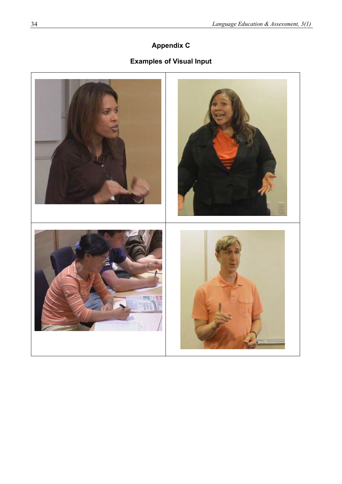## **Appendix C**

## **Examples of Visual Input**